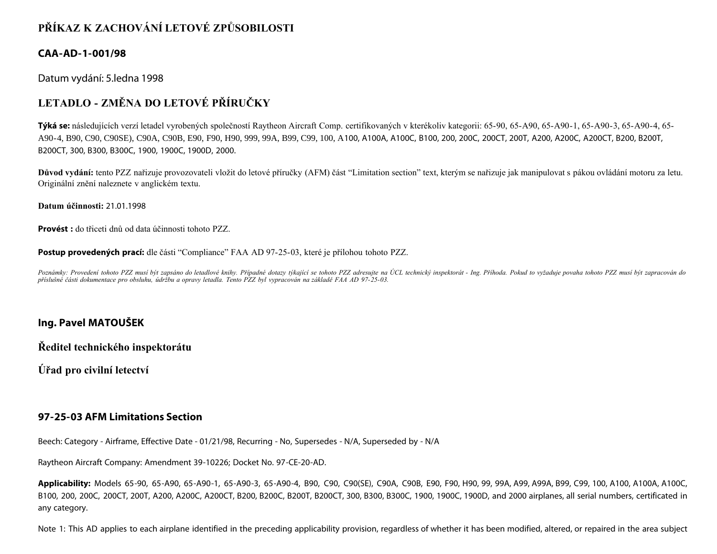# **PŘÍKAZ K ZACHOVÁNÍ LETOVÉ ZPŮSOBILOSTI**

### **CAA-AD-1-001/98**

Datum vydání: 5.ledna 1998

## **LETADLO - ZMĚNA DO LETOVÉ PŘÍRUČKY**

**Týká se:** následujících verzí letadel vyrobených společností Raytheon Aircraft Comp. certifikovaných v kterékoliv kategorii: 65-90, 65-A90, 65-A90-1, 65-A90-3, 65-A90-4, 65- A90-4, B90, C90, C90SE), C90A, C90B, E90, F90, H90, 999, 99A, B99, C99, 100, A100, A100A, A100C, B100, 200, 200C, 200CT, 200T, A200, A200C, A200CT, B200, B200T, B200CT, 300, B300, B300C, 1900, 1900C, 1900D, 2000.

**Důvod vydání:** tento PZZ nařizuje provozovateli vložit do letové příručky (AFM) část "Limitation section" text, kterým se nařizuje jak manipulovat s pákou ovládání motoru za letu. Originální znění naleznete v anglickém textu.

**Datum účinnosti:** 21.01.1998

**Provést :** do třiceti dnů od data účinnosti tohoto PZZ.

**Postup provedených prací:** dle části "Compliance" FAA AD 97-25-03, které je přílohou tohoto PZZ.

Poznámky: Provedení tohoto PZZ musí být zapsáno do letadlové knihy. Případné dotazy týkající se tohoto PZZ adresujte na ÚCL technický inspektorát - Ing. Příhoda. Pokud to vyžaduje povaha tohoto PZZ musí být zapracován do *příslušné části dokumentace pro obsluhu, údržbu a opravy letadla. Tento PZZ byl vypracován na základě FAA AD 97-25-03.*

### **Ing. Pavel MATOUŠEK**

**Ředitel technického inspektorátu**

**Úřad pro civilní letectví**

### **97-25-03 AFM Limitations Section**

Beech: Category - Airframe, Effective Date - 01/21/98, Recurring - No, Supersedes - N/A, Superseded by - N/A

Raytheon Aircraft Company: Amendment 39-10226; Docket No. 97-CE-20-AD.

**Applicability:** Models 65-90, 65-A90, 65-A90-1, 65-A90-3, 65-A90-4, B90, C90, C90(SE), C90A, C90B, E90, F90, H90, 99, 99A, A99, A99A, B99, C99, 100, A100, A100A, A100C, B100, 200, 200C, 200CT, 200T, A200, A200C, A200CT, B200, B200C, B200T, B200CT, 300, B300, B300C, 1900, 1900C, 1900D, and 2000 airplanes, all serial numbers, certificated in any category.

Note 1: This AD applies to each airplane identified in the preceding applicability provision, regardless of whether it has been modified, altered, or repaired in the area subject